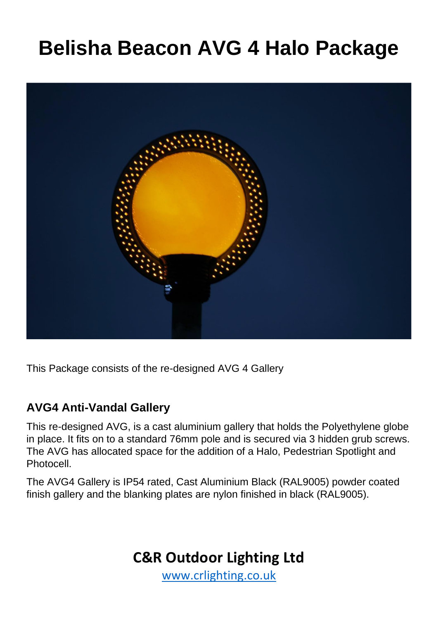# **Belisha Beacon AVG 4 Halo Package**



This Package consists of the re-designed AVG 4 Gallery

#### **AVG4 Anti-Vandal Gallery**

This re-designed AVG, is a cast aluminium gallery that holds the Polyethylene globe in place. It fits on to a standard 76mm pole and is secured via 3 hidden grub screws. The AVG has allocated space for the addition of a Halo, Pedestrian Spotlight and Photocell.

The AVG4 Gallery is IP54 rated, Cast Aluminium Black (RAL9005) powder coated finish gallery and the blanking plates are nylon finished in black (RAL9005).

### **C&R Outdoor Lighting Ltd**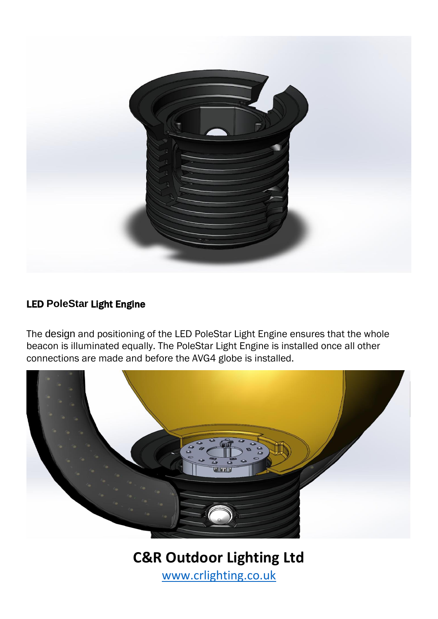

#### LED **PoleStar** Light Engine

The design and positioning of the LED PoleStar Light Engine ensures that the whole beacon is illuminated equally. The PoleStar Light Engine is installed once all other connections are made and before the AVG4 globe is installed.



**C&R Outdoor Lighting Ltd**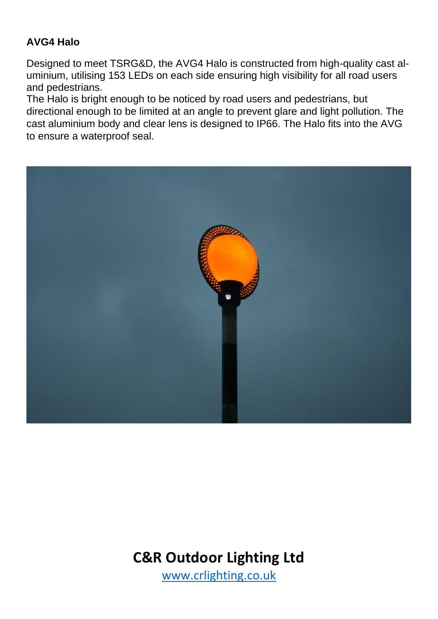#### **AVG4 Halo**

Designed to meet TSRG&D, the AVG4 Halo is constructed from high-quality cast aluminium, utilising 153 LEDs on each side ensuring high visibility for all road users and pedestrians.

The Halo is bright enough to be noticed by road users and pedestrians, but directional enough to be limited at an angle to prevent glare and light pollution. The cast aluminium body and clear lens is designed to IP66. The Halo fits into the AVG to ensure a waterproof seal.



## **C&R Outdoor Lighting Ltd**